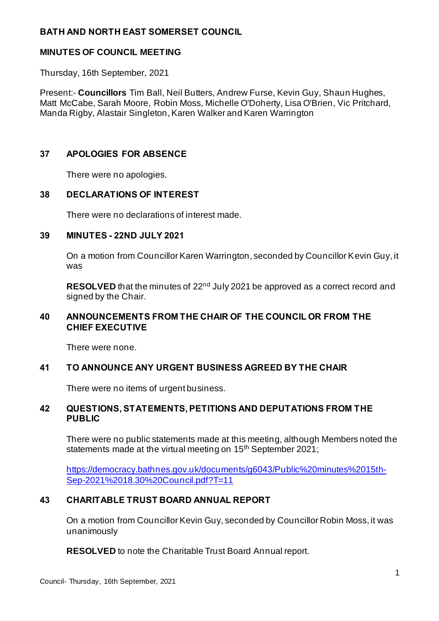# **BATH AND NORTH EAST SOMERSET COUNCIL**

## **MINUTES OF COUNCIL MEETING**

Thursday, 16th September, 2021

Present:- **Councillors** Tim Ball, Neil Butters, Andrew Furse, Kevin Guy, Shaun Hughes, Matt McCabe, Sarah Moore, Robin Moss, Michelle O'Doherty, Lisa O'Brien, Vic Pritchard, Manda Rigby, Alastair Singleton, Karen Walker and Karen Warrington

#### **37 APOLOGIES FOR ABSENCE**

There were no apologies.

## **38 DECLARATIONS OF INTEREST**

There were no declarations of interest made.

#### **39 MINUTES - 22ND JULY 2021**

On a motion from Councillor Karen Warrington, seconded by Councillor Kevin Guy, it was

**RESOLVED** that the minutes of 22<sup>nd</sup> July 2021 be approved as a correct record and signed by the Chair.

# **40 ANNOUNCEMENTS FROM THE CHAIR OF THE COUNCIL OR FROM THE CHIEF EXECUTIVE**

There were none.

# **41 TO ANNOUNCE ANY URGENT BUSINESS AGREED BY THE CHAIR**

There were no items of urgent business.

## **42 QUESTIONS, STATEMENTS, PETITIONS AND DEPUTATIONS FROM THE PUBLIC**

There were no public statements made at this meeting, although Members noted the statements made at the virtual meeting on 15<sup>th</sup> September 2021;

[https://democracy.bathnes.gov.uk/documents/g6043/Public%20minutes%2015th-](https://democracy.bathnes.gov.uk/documents/g6043/Public%20minutes%2015th-Sep-2021%2018.30%20Council.pdf?T=11)[Sep-2021%2018.30%20Council.pdf?T=11](https://democracy.bathnes.gov.uk/documents/g6043/Public%20minutes%2015th-Sep-2021%2018.30%20Council.pdf?T=11)

# **43 CHARITABLE TRUST BOARD ANNUAL REPORT**

On a motion from Councillor Kevin Guy, seconded by Councillor Robin Moss, it was unanimously

**RESOLVED** to note the Charitable Trust Board Annual report.